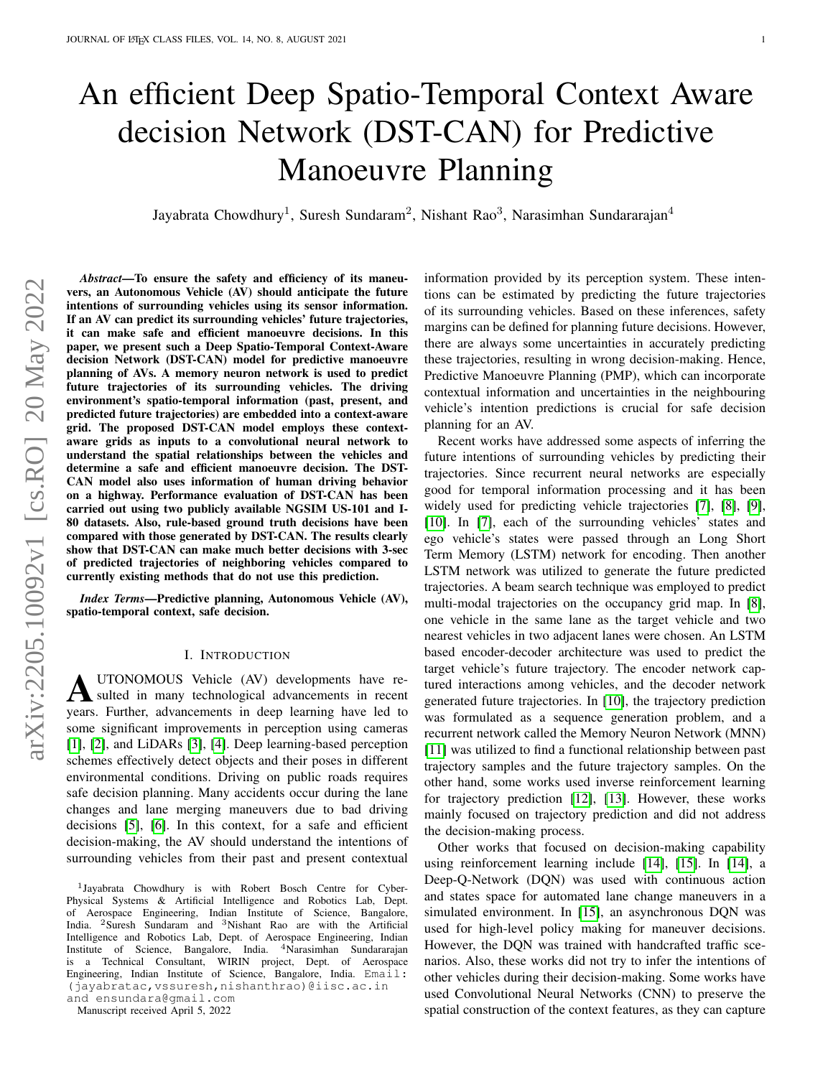# An efficient Deep Spatio-Temporal Context Aware decision Network (DST-CAN) for Predictive Manoeuvre Planning

Jayabrata Chowdhury<sup>1</sup>, Suresh Sundaram<sup>2</sup>, Nishant Rao<sup>3</sup>, Narasimhan Sundararajan<sup>4</sup>

*Abstract*—To ensure the safety and efficiency of its maneuvers, an Autonomous Vehicle (AV) should anticipate the future intentions of surrounding vehicles using its sensor information. If an AV can predict its surrounding vehicles' future trajectories, it can make safe and efficient manoeuvre decisions. In this paper, we present such a Deep Spatio-Temporal Context-Aware decision Network (DST-CAN) model for predictive manoeuvre planning of AVs. A memory neuron network is used to predict future trajectories of its surrounding vehicles. The driving environment's spatio-temporal information (past, present, and predicted future trajectories) are embedded into a context-aware grid. The proposed DST-CAN model employs these contextaware grids as inputs to a convolutional neural network to understand the spatial relationships between the vehicles and determine a safe and efficient manoeuvre decision. The DST-CAN model also uses information of human driving behavior on a highway. Performance evaluation of DST-CAN has been carried out using two publicly available NGSIM US-101 and I-80 datasets. Also, rule-based ground truth decisions have been compared with those generated by DST-CAN. The results clearly show that DST-CAN can make much better decisions with 3-sec of predicted trajectories of neighboring vehicles compared to currently existing methods that do not use this prediction.

*Index Terms*—Predictive planning, Autonomous Vehicle (AV), spatio-temporal context, safe decision.

#### I. INTRODUCTION

A UTONOMOUS Vehicle (AV) developments have resulted in many technological advancements in recent years. Further, advancements in deep learning have led to some significant improvements in perception using cameras [\[1\]](#page-9-0), [\[2\]](#page-9-1), and LiDARs [\[3\]](#page-9-2), [\[4\]](#page-9-3). Deep learning-based perception schemes effectively detect objects and their poses in different environmental conditions. Driving on public roads requires safe decision planning. Many accidents occur during the lane changes and lane merging maneuvers due to bad driving decisions [\[5\]](#page-9-4), [\[6\]](#page-9-5). In this context, for a safe and efficient decision-making, the AV should understand the intentions of surrounding vehicles from their past and present contextual

and ensundara@gmail.com

Manuscript received April 5, 2022

information provided by its perception system. These intentions can be estimated by predicting the future trajectories of its surrounding vehicles. Based on these inferences, safety margins can be defined for planning future decisions. However, there are always some uncertainties in accurately predicting these trajectories, resulting in wrong decision-making. Hence, Predictive Manoeuvre Planning (PMP), which can incorporate contextual information and uncertainties in the neighbouring vehicle's intention predictions is crucial for safe decision planning for an AV.

Recent works have addressed some aspects of inferring the future intentions of surrounding vehicles by predicting their trajectories. Since recurrent neural networks are especially good for temporal information processing and it has been widely used for predicting vehicle trajectories [\[7\]](#page-9-6), [\[8\]](#page-9-7), [\[9\]](#page-9-8), [\[10\]](#page-9-9). In [\[7\]](#page-9-6), each of the surrounding vehicles' states and ego vehicle's states were passed through an Long Short Term Memory (LSTM) network for encoding. Then another LSTM network was utilized to generate the future predicted trajectories. A beam search technique was employed to predict multi-modal trajectories on the occupancy grid map. In [\[8\]](#page-9-7), one vehicle in the same lane as the target vehicle and two nearest vehicles in two adjacent lanes were chosen. An LSTM based encoder-decoder architecture was used to predict the target vehicle's future trajectory. The encoder network captured interactions among vehicles, and the decoder network generated future trajectories. In [\[10\]](#page-9-9), the trajectory prediction was formulated as a sequence generation problem, and a recurrent network called the Memory Neuron Network (MNN) [\[11\]](#page-9-10) was utilized to find a functional relationship between past trajectory samples and the future trajectory samples. On the other hand, some works used inverse reinforcement learning for trajectory prediction [\[12\]](#page-9-11), [\[13\]](#page-9-12). However, these works mainly focused on trajectory prediction and did not address the decision-making process.

Other works that focused on decision-making capability using reinforcement learning include [\[14\]](#page-9-13), [\[15\]](#page-9-14). In [\[14\]](#page-9-13), a Deep-Q-Network (DQN) was used with continuous action and states space for automated lane change maneuvers in a simulated environment. In [\[15\]](#page-9-14), an asynchronous DQN was used for high-level policy making for maneuver decisions. However, the DQN was trained with handcrafted traffic scenarios. Also, these works did not try to infer the intentions of other vehicles during their decision-making. Some works have used Convolutional Neural Networks (CNN) to preserve the spatial construction of the context features, as they can capture

<sup>1</sup> Jayabrata Chowdhury is with Robert Bosch Centre for Cyber-Physical Systems & Artificial Intelligence and Robotics Lab, Dept. of Aerospace Engineering, Indian Institute of Science, Bangalore, India. <sup>2</sup>Suresh Sundaram and <sup>3</sup>Nishant Rao are with the Artificial Intelligence and Robotics Lab, Dept. of Aerospace Engineering, Indian Institute of Science, Bangalore, India. <sup>4</sup>Narasimhan Sundararajan is a Technical Consultant, WIRIN project, Dept. of Aerospace Engineering, Indian Institute of Science, Bangalore, India. Email: (jayabratac,vssuresh,nishanthrao)@iisc.ac.in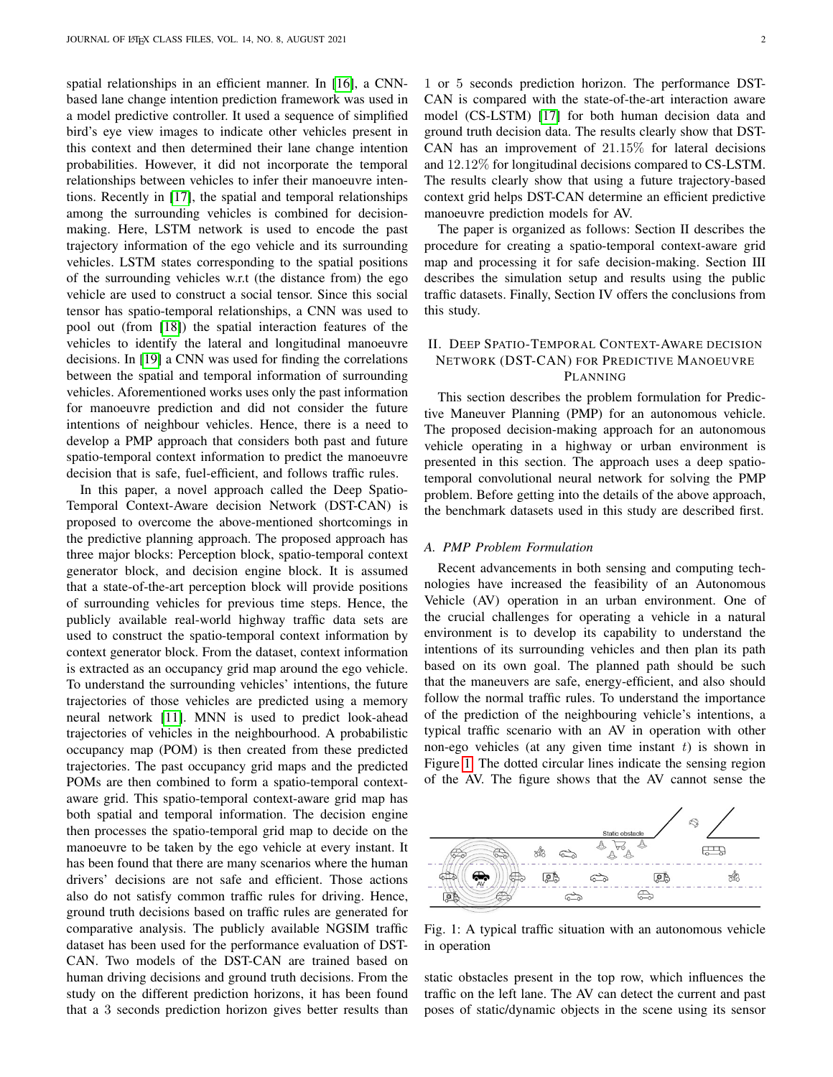spatial relationships in an efficient manner. In [\[16\]](#page-9-15), a CNNbased lane change intention prediction framework was used in a model predictive controller. It used a sequence of simplified bird's eye view images to indicate other vehicles present in this context and then determined their lane change intention probabilities. However, it did not incorporate the temporal relationships between vehicles to infer their manoeuvre intentions. Recently in [\[17\]](#page-9-16), the spatial and temporal relationships among the surrounding vehicles is combined for decisionmaking. Here, LSTM network is used to encode the past trajectory information of the ego vehicle and its surrounding vehicles. LSTM states corresponding to the spatial positions of the surrounding vehicles w.r.t (the distance from) the ego vehicle are used to construct a social tensor. Since this social tensor has spatio-temporal relationships, a CNN was used to pool out (from [\[18\]](#page-9-17)) the spatial interaction features of the vehicles to identify the lateral and longitudinal manoeuvre decisions. In [\[19\]](#page-9-18) a CNN was used for finding the correlations between the spatial and temporal information of surrounding vehicles. Aforementioned works uses only the past information for manoeuvre prediction and did not consider the future intentions of neighbour vehicles. Hence, there is a need to develop a PMP approach that considers both past and future spatio-temporal context information to predict the manoeuvre decision that is safe, fuel-efficient, and follows traffic rules.

In this paper, a novel approach called the Deep Spatio-Temporal Context-Aware decision Network (DST-CAN) is proposed to overcome the above-mentioned shortcomings in the predictive planning approach. The proposed approach has three major blocks: Perception block, spatio-temporal context generator block, and decision engine block. It is assumed that a state-of-the-art perception block will provide positions of surrounding vehicles for previous time steps. Hence, the publicly available real-world highway traffic data sets are used to construct the spatio-temporal context information by context generator block. From the dataset, context information is extracted as an occupancy grid map around the ego vehicle. To understand the surrounding vehicles' intentions, the future trajectories of those vehicles are predicted using a memory neural network [\[11\]](#page-9-10). MNN is used to predict look-ahead trajectories of vehicles in the neighbourhood. A probabilistic occupancy map (POM) is then created from these predicted trajectories. The past occupancy grid maps and the predicted POMs are then combined to form a spatio-temporal contextaware grid. This spatio-temporal context-aware grid map has both spatial and temporal information. The decision engine then processes the spatio-temporal grid map to decide on the manoeuvre to be taken by the ego vehicle at every instant. It has been found that there are many scenarios where the human drivers' decisions are not safe and efficient. Those actions also do not satisfy common traffic rules for driving. Hence, ground truth decisions based on traffic rules are generated for comparative analysis. The publicly available NGSIM traffic dataset has been used for the performance evaluation of DST-CAN. Two models of the DST-CAN are trained based on human driving decisions and ground truth decisions. From the study on the different prediction horizons, it has been found that a 3 seconds prediction horizon gives better results than

1 or 5 seconds prediction horizon. The performance DST-CAN is compared with the state-of-the-art interaction aware model (CS-LSTM) [\[17\]](#page-9-16) for both human decision data and ground truth decision data. The results clearly show that DST-CAN has an improvement of 21.15% for lateral decisions and 12.12% for longitudinal decisions compared to CS-LSTM. The results clearly show that using a future trajectory-based context grid helps DST-CAN determine an efficient predictive manoeuvre prediction models for AV.

The paper is organized as follows: Section II describes the procedure for creating a spatio-temporal context-aware grid map and processing it for safe decision-making. Section III describes the simulation setup and results using the public traffic datasets. Finally, Section IV offers the conclusions from this study.

# II. DEEP SPATIO-TEMPORAL CONTEXT-AWARE DECISION NETWORK (DST-CAN) FOR PREDICTIVE MANOEUVRE PLANNING

This section describes the problem formulation for Predictive Maneuver Planning (PMP) for an autonomous vehicle. The proposed decision-making approach for an autonomous vehicle operating in a highway or urban environment is presented in this section. The approach uses a deep spatiotemporal convolutional neural network for solving the PMP problem. Before getting into the details of the above approach, the benchmark datasets used in this study are described first.

#### *A. PMP Problem Formulation*

Recent advancements in both sensing and computing technologies have increased the feasibility of an Autonomous Vehicle (AV) operation in an urban environment. One of the crucial challenges for operating a vehicle in a natural environment is to develop its capability to understand the intentions of its surrounding vehicles and then plan its path based on its own goal. The planned path should be such that the maneuvers are safe, energy-efficient, and also should follow the normal traffic rules. To understand the importance of the prediction of the neighbouring vehicle's intentions, a typical traffic scenario with an AV in operation with other non-ego vehicles (at any given time instant  $t$ ) is shown in Figure [1.](#page-1-0) The dotted circular lines indicate the sensing region of the AV. The figure shows that the AV cannot sense the

<span id="page-1-0"></span>

Fig. 1: A typical traffic situation with an autonomous vehicle in operation

static obstacles present in the top row, which influences the traffic on the left lane. The AV can detect the current and past poses of static/dynamic objects in the scene using its sensor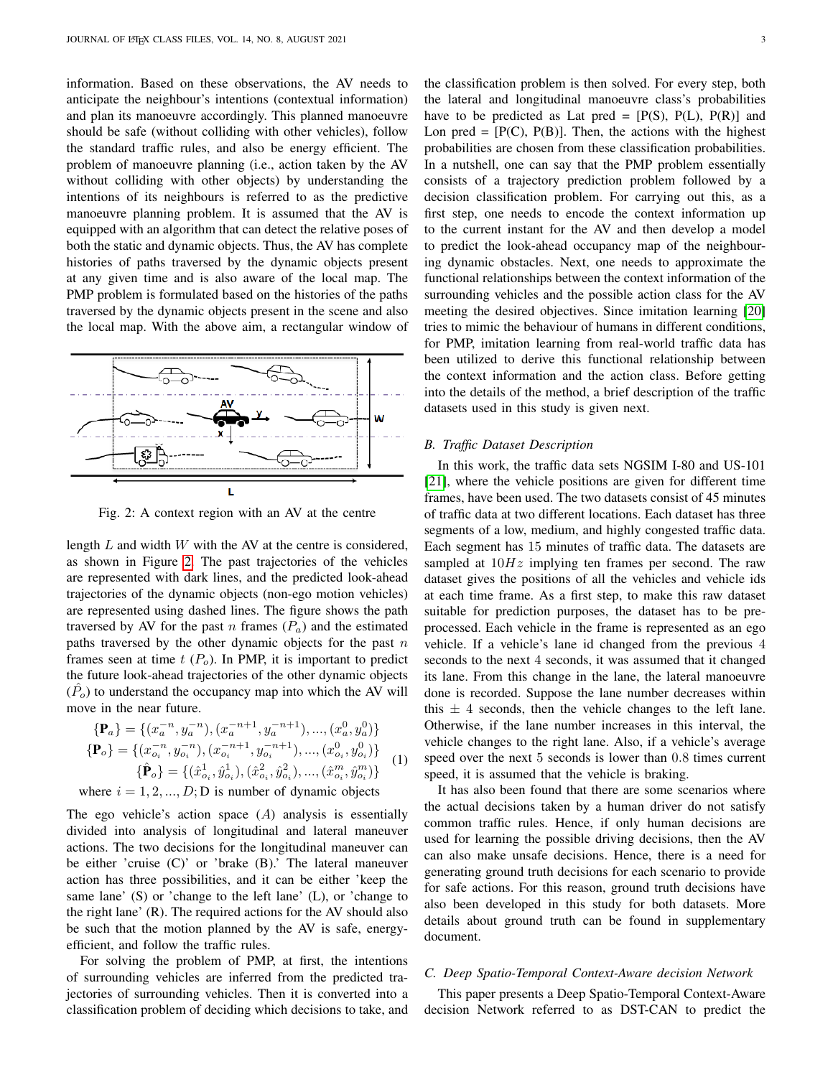information. Based on these observations, the AV needs to anticipate the neighbour's intentions (contextual information) and plan its manoeuvre accordingly. This planned manoeuvre should be safe (without colliding with other vehicles), follow the standard traffic rules, and also be energy efficient. The problem of manoeuvre planning (i.e., action taken by the AV without colliding with other objects) by understanding the intentions of its neighbours is referred to as the predictive manoeuvre planning problem. It is assumed that the AV is equipped with an algorithm that can detect the relative poses of both the static and dynamic objects. Thus, the AV has complete histories of paths traversed by the dynamic objects present at any given time and is also aware of the local map. The PMP problem is formulated based on the histories of the paths traversed by the dynamic objects present in the scene and also the local map. With the above aim, a rectangular window of

<span id="page-2-0"></span>

Fig. 2: A context region with an AV at the centre

length  $L$  and width  $W$  with the AV at the centre is considered, as shown in Figure [2.](#page-2-0) The past trajectories of the vehicles are represented with dark lines, and the predicted look-ahead trajectories of the dynamic objects (non-ego motion vehicles) are represented using dashed lines. The figure shows the path traversed by AV for the past n frames  $(P_a)$  and the estimated paths traversed by the other dynamic objects for the past  $n$ frames seen at time  $t(P<sub>o</sub>)$ . In PMP, it is important to predict the future look-ahead trajectories of the other dynamic objects  $(\hat{P}_o)$  to understand the occupancy map into which the AV will move in the near future.

$$
\begin{aligned} \{\mathbf{P}_a\} &= \{ (x_a^{-n}, y_a^{-n}), (x_a^{-n+1}, y_a^{-n+1}), \dots, (x_a^0, y_a^0) \} \\ \{\mathbf{P}_o\} &= \{ (x_{o_i}^{-n}, y_{o_i}^{-n}), (x_{o_i}^{-n+1}, y_{o_i}^{-n+1}), \dots, (x_{o_i}^0, y_{o_i}^0) \} \\ \{\hat{\mathbf{P}}_o\} &= \{ (\hat{x}_{o_i}^1, \hat{y}_{o_i}^1), (\hat{x}_{o_i}^2, \hat{y}_{o_i}^2), \dots, (\hat{x}_{o_i}^m, \hat{y}_{o_i}^m) \} \end{aligned} \tag{1}
$$

where  $i = 1, 2, ..., D$ ; D is number of dynamic objects

The ego vehicle's action space  $(A)$  analysis is essentially divided into analysis of longitudinal and lateral maneuver actions. The two decisions for the longitudinal maneuver can be either 'cruise (C)' or 'brake (B).' The lateral maneuver action has three possibilities, and it can be either 'keep the same lane' (S) or 'change to the left lane' (L), or 'change to the right lane' (R). The required actions for the AV should also be such that the motion planned by the AV is safe, energyefficient, and follow the traffic rules.

For solving the problem of PMP, at first, the intentions of surrounding vehicles are inferred from the predicted trajectories of surrounding vehicles. Then it is converted into a classification problem of deciding which decisions to take, and the classification problem is then solved. For every step, both the lateral and longitudinal manoeuvre class's probabilities have to be predicted as Lat pred =  $[P(S), P(L), P(R)]$  and Lon pred =  $[P(C), P(B)]$ . Then, the actions with the highest probabilities are chosen from these classification probabilities. In a nutshell, one can say that the PMP problem essentially consists of a trajectory prediction problem followed by a decision classification problem. For carrying out this, as a first step, one needs to encode the context information up to the current instant for the AV and then develop a model to predict the look-ahead occupancy map of the neighbouring dynamic obstacles. Next, one needs to approximate the functional relationships between the context information of the surrounding vehicles and the possible action class for the AV meeting the desired objectives. Since imitation learning [\[20\]](#page-9-19) tries to mimic the behaviour of humans in different conditions, for PMP, imitation learning from real-world traffic data has been utilized to derive this functional relationship between the context information and the action class. Before getting into the details of the method, a brief description of the traffic datasets used in this study is given next.

#### *B. Traffic Dataset Description*

In this work, the traffic data sets NGSIM I-80 and US-101 [\[21\]](#page-9-20), where the vehicle positions are given for different time frames, have been used. The two datasets consist of 45 minutes of traffic data at two different locations. Each dataset has three segments of a low, medium, and highly congested traffic data. Each segment has 15 minutes of traffic data. The datasets are sampled at  $10Hz$  implying ten frames per second. The raw dataset gives the positions of all the vehicles and vehicle ids at each time frame. As a first step, to make this raw dataset suitable for prediction purposes, the dataset has to be preprocessed. Each vehicle in the frame is represented as an ego vehicle. If a vehicle's lane id changed from the previous 4 seconds to the next 4 seconds, it was assumed that it changed its lane. From this change in the lane, the lateral manoeuvre done is recorded. Suppose the lane number decreases within this  $\pm$  4 seconds, then the vehicle changes to the left lane. Otherwise, if the lane number increases in this interval, the vehicle changes to the right lane. Also, if a vehicle's average speed over the next 5 seconds is lower than 0.8 times current speed, it is assumed that the vehicle is braking.

It has also been found that there are some scenarios where the actual decisions taken by a human driver do not satisfy common traffic rules. Hence, if only human decisions are used for learning the possible driving decisions, then the AV can also make unsafe decisions. Hence, there is a need for generating ground truth decisions for each scenario to provide for safe actions. For this reason, ground truth decisions have also been developed in this study for both datasets. More details about ground truth can be found in supplementary document.

# *C. Deep Spatio-Temporal Context-Aware decision Network*

This paper presents a Deep Spatio-Temporal Context-Aware decision Network referred to as DST-CAN to predict the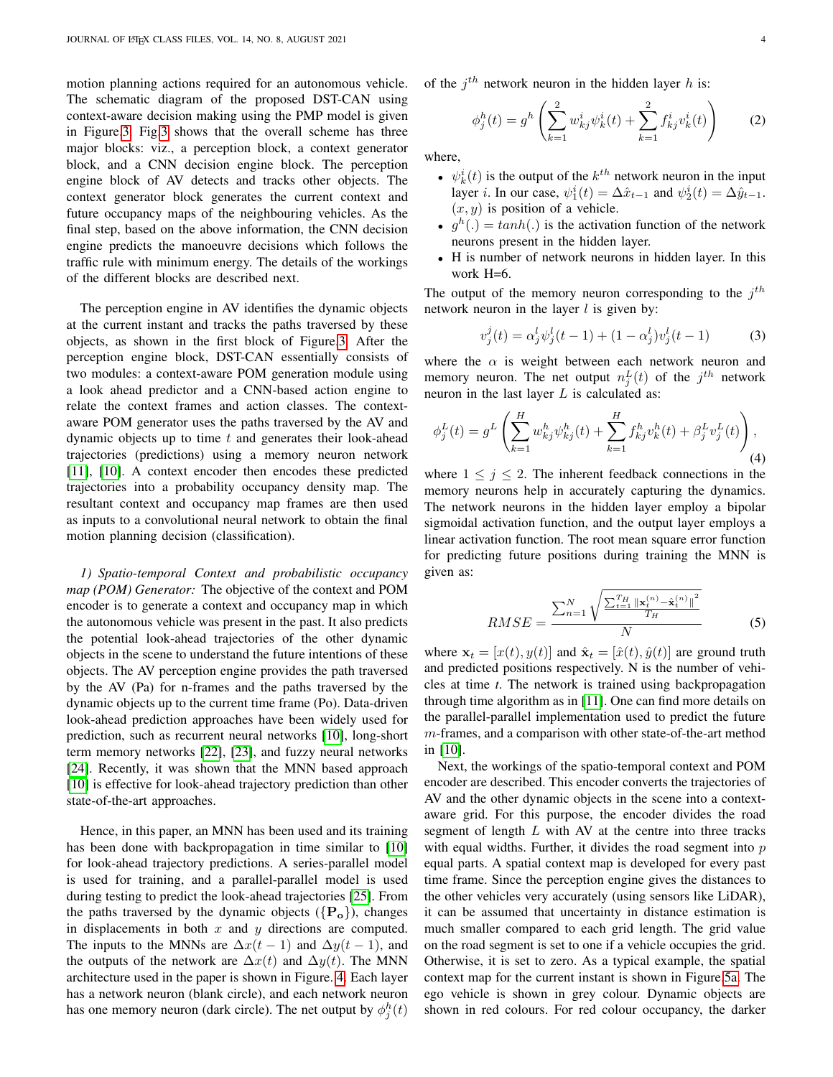motion planning actions required for an autonomous vehicle. The schematic diagram of the proposed DST-CAN using context-aware decision making using the PMP model is given in Figure[.3.](#page-4-0) Fig[.3](#page-4-0) shows that the overall scheme has three major blocks: viz., a perception block, a context generator block, and a CNN decision engine block. The perception engine block of AV detects and tracks other objects. The context generator block generates the current context and future occupancy maps of the neighbouring vehicles. As the final step, based on the above information, the CNN decision engine predicts the manoeuvre decisions which follows the traffic rule with minimum energy. The details of the workings of the different blocks are described next.

The perception engine in AV identifies the dynamic objects at the current instant and tracks the paths traversed by these objects, as shown in the first block of Figure[.3.](#page-4-0) After the perception engine block, DST-CAN essentially consists of two modules: a context-aware POM generation module using a look ahead predictor and a CNN-based action engine to relate the context frames and action classes. The contextaware POM generator uses the paths traversed by the AV and dynamic objects up to time  $t$  and generates their look-ahead trajectories (predictions) using a memory neuron network [\[11\]](#page-9-10), [\[10\]](#page-9-9). A context encoder then encodes these predicted trajectories into a probability occupancy density map. The resultant context and occupancy map frames are then used as inputs to a convolutional neural network to obtain the final motion planning decision (classification).

*1) Spatio-temporal Context and probabilistic occupancy map (POM) Generator:* The objective of the context and POM encoder is to generate a context and occupancy map in which the autonomous vehicle was present in the past. It also predicts the potential look-ahead trajectories of the other dynamic objects in the scene to understand the future intentions of these objects. The AV perception engine provides the path traversed by the AV (Pa) for n-frames and the paths traversed by the dynamic objects up to the current time frame (Po). Data-driven look-ahead prediction approaches have been widely used for prediction, such as recurrent neural networks [\[10\]](#page-9-9), long-short term memory networks [\[22\]](#page-9-21), [\[23\]](#page-10-0), and fuzzy neural networks [\[24\]](#page-10-1). Recently, it was shown that the MNN based approach [\[10\]](#page-9-9) is effective for look-ahead trajectory prediction than other state-of-the-art approaches.

Hence, in this paper, an MNN has been used and its training has been done with backpropagation in time similar to [\[10\]](#page-9-9) for look-ahead trajectory predictions. A series-parallel model is used for training, and a parallel-parallel model is used during testing to predict the look-ahead trajectories [\[25\]](#page-10-2). From the paths traversed by the dynamic objects  $({P_o})$ , changes in displacements in both  $x$  and  $y$  directions are computed. The inputs to the MNNs are  $\Delta x(t-1)$  and  $\Delta y(t-1)$ , and the outputs of the network are  $\Delta x(t)$  and  $\Delta y(t)$ . The MNN architecture used in the paper is shown in Figure. [4.](#page-4-1) Each layer has a network neuron (blank circle), and each network neuron has one memory neuron (dark circle). The net output by  $\phi_j^h(t)$  of the  $j^{th}$  network neuron in the hidden layer h is:

$$
\phi_j^h(t) = g^h \left( \sum_{k=1}^2 w_{kj}^i \psi_k^i(t) + \sum_{k=1}^2 f_{kj}^i v_k^i(t) \right) \tag{2}
$$

where,

- $\psi_k^i(t)$  is the output of the  $k^{th}$  network neuron in the input layer *i*. In our case,  $\psi_1^i(t) = \Delta \hat{x}_{t-1}$  and  $\psi_2^i(t) = \Delta \hat{y}_{t-1}$ .  $(x, y)$  is position of a vehicle.
- $g^h(.) = tanh(.)$  is the activation function of the network neurons present in the hidden layer.
- H is number of network neurons in hidden layer. In this work H=6.

The output of the memory neuron corresponding to the  $j<sup>th</sup>$ network neuron in the layer  $l$  is given by:

$$
v_j^j(t) = \alpha_j^l \psi_j^l(t-1) + (1 - \alpha_j^l) v_j^l(t-1)
$$
 (3)

where the  $\alpha$  is weight between each network neuron and memory neuron. The net output  $n_j^L(t)$  of the  $j^{th}$  network neuron in the last layer  $L$  is calculated as:

$$
\phi_j^L(t) = g^L \left( \sum_{k=1}^H w_{kj}^h \psi_{kj}^h(t) + \sum_{k=1}^H f_{kj}^h v_k^h(t) + \beta_j^L v_j^L(t) \right),\tag{4}
$$

where  $1 \leq j \leq 2$ . The inherent feedback connections in the memory neurons help in accurately capturing the dynamics. The network neurons in the hidden layer employ a bipolar sigmoidal activation function, and the output layer employs a linear activation function. The root mean square error function for predicting future positions during training the MNN is given as:

$$
RMSE = \frac{\sum_{n=1}^{N} \sqrt{\frac{\sum_{t=1}^{T_{H}} ||\mathbf{x}_{t}^{(n)} - \hat{\mathbf{x}}_{t}^{(n)}||^{2}}}{T_{H}}}
$$
(5)

where  $\mathbf{x}_t = [x(t), y(t)]$  and  $\hat{\mathbf{x}}_t = [\hat{x}(t), \hat{y}(t)]$  are ground truth and predicted positions respectively. N is the number of vehicles at time *t*. The network is trained using backpropagation through time algorithm as in [\[11\]](#page-9-10). One can find more details on the parallel-parallel implementation used to predict the future  $m$ -frames, and a comparison with other state-of-the-art method in [\[10\]](#page-9-9).

Next, the workings of the spatio-temporal context and POM encoder are described. This encoder converts the trajectories of AV and the other dynamic objects in the scene into a contextaware grid. For this purpose, the encoder divides the road segment of length  $L$  with AV at the centre into three tracks with equal widths. Further, it divides the road segment into  $p$ equal parts. A spatial context map is developed for every past time frame. Since the perception engine gives the distances to the other vehicles very accurately (using sensors like LiDAR), it can be assumed that uncertainty in distance estimation is much smaller compared to each grid length. The grid value on the road segment is set to one if a vehicle occupies the grid. Otherwise, it is set to zero. As a typical example, the spatial context map for the current instant is shown in Figure[.5a.](#page-4-2) The ego vehicle is shown in grey colour. Dynamic objects are shown in red colours. For red colour occupancy, the darker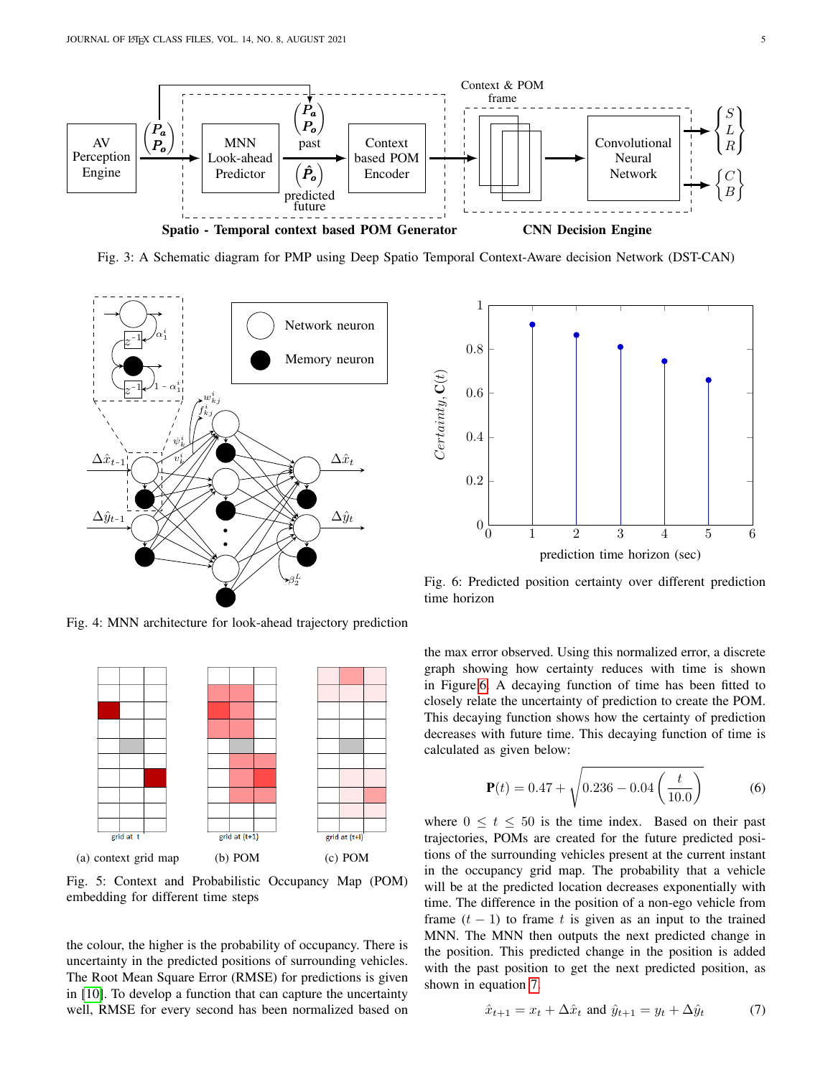<span id="page-4-0"></span>

Fig. 3: A Schematic diagram for PMP using Deep Spatio Temporal Context-Aware decision Network (DST-CAN)

<span id="page-4-1"></span>

Fig. 4: MNN architecture for look-ahead trajectory prediction

<span id="page-4-2"></span>

Fig. 5: Context and Probabilistic Occupancy Map (POM) embedding for different time steps

the colour, the higher is the probability of occupancy. There is uncertainty in the predicted positions of surrounding vehicles. The Root Mean Square Error (RMSE) for predictions is given in [\[10\]](#page-9-9). To develop a function that can capture the uncertainty well, RMSE for every second has been normalized based on

<span id="page-4-3"></span>

Fig. 6: Predicted position certainty over different prediction time horizon

the max error observed. Using this normalized error, a discrete graph showing how certainty reduces with time is shown in Figure[.6.](#page-4-3) A decaying function of time has been fitted to closely relate the uncertainty of prediction to create the POM. This decaying function shows how the certainty of prediction decreases with future time. This decaying function of time is calculated as given below:

<span id="page-4-5"></span>
$$
\mathbf{P}(t) = 0.47 + \sqrt{0.236 - 0.04 \left(\frac{t}{10.0}\right)}
$$
 (6)

where  $0 \le t \le 50$  is the time index. Based on their past trajectories, POMs are created for the future predicted positions of the surrounding vehicles present at the current instant in the occupancy grid map. The probability that a vehicle will be at the predicted location decreases exponentially with time. The difference in the position of a non-ego vehicle from frame  $(t - 1)$  to frame t is given as an input to the trained MNN. The MNN then outputs the next predicted change in the position. This predicted change in the position is added with the past position to get the next predicted position, as shown in equation [7.](#page-4-4)

<span id="page-4-4"></span>
$$
\hat{x}_{t+1} = x_t + \Delta \hat{x}_t \text{ and } \hat{y}_{t+1} = y_t + \Delta \hat{y}_t \tag{7}
$$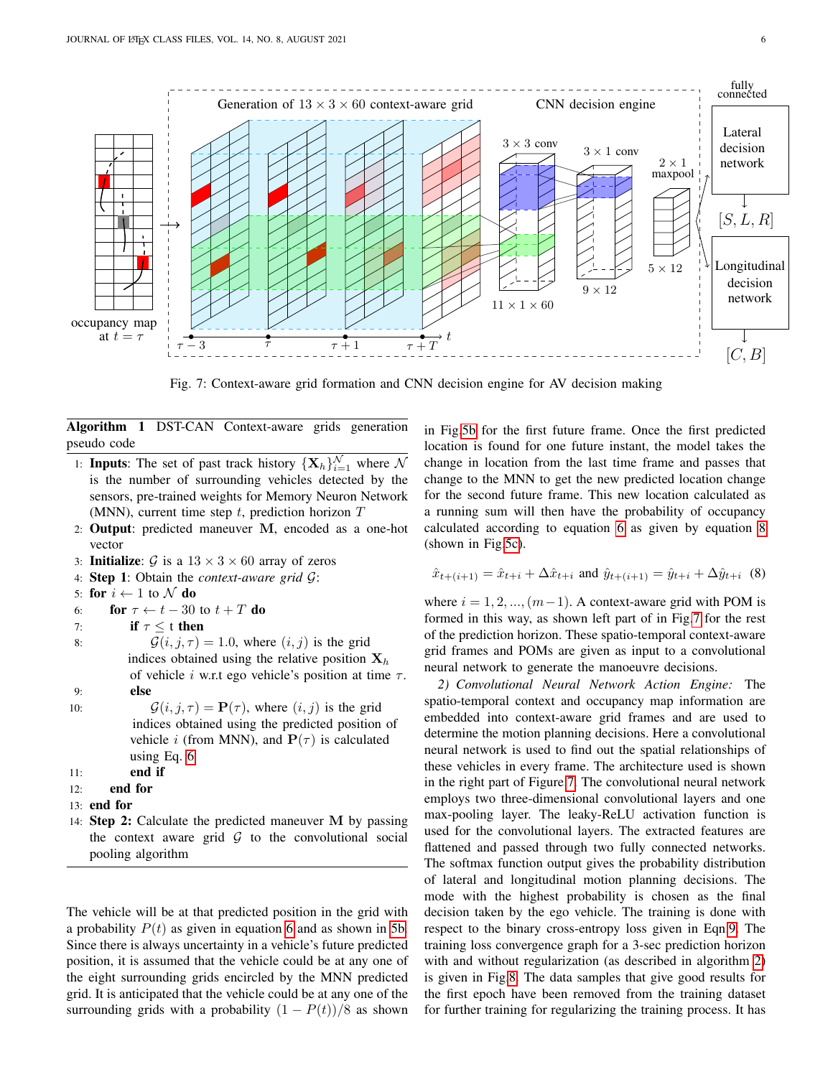<span id="page-5-1"></span>

Fig. 7: Context-aware grid formation and CNN decision engine for AV decision making

Algorithm 1 DST-CAN Context-aware grids generation pseudo code

- 1: **Inputs**: The set of past track history  $\{X_h\}_{i=1}^N$  where N is the number of surrounding vehicles detected by the sensors, pre-trained weights for Memory Neuron Network (MNN), current time step  $t$ , prediction horizon  $T$
- 2: Output: predicted maneuver M, encoded as a one-hot vector
- 3: **Initialize:**  $\mathcal{G}$  is a  $13 \times 3 \times 60$  array of zeros
- 4: Step 1: Obtain the *context-aware grid* G:
- 5: for  $i \leftarrow 1$  to  $N$  do
- 6: **for**  $\tau \leftarrow t 30$  to  $t + T$  do
- 7: if  $\tau \leq t$  then
- 8:  $\mathcal{G}(i, j, \tau) = 1.0$ , where  $(i, j)$  is the grid indices obtained using the relative position  $X_h$ of vehicle *i* w.r.t ego vehicle's position at time  $\tau$ . 9: else
- 10:  $\mathcal{G}(i, j, \tau) = \mathbf{P}(\tau)$ , where  $(i, j)$  is the grid indices obtained using the predicted position of vehicle *i* (from MNN), and  $P(\tau)$  is calculated using Eq. [6](#page-4-5)
- 11: end if
- 12: end for
- 13: end for
- 14: Step 2: Calculate the predicted maneuver M by passing the context aware grid  $G$  to the convolutional social pooling algorithm

The vehicle will be at that predicted position in the grid with a probability  $P(t)$  as given in equation [6](#page-4-5) and as shown in [5b.](#page-4-2) Since there is always uncertainty in a vehicle's future predicted position, it is assumed that the vehicle could be at any one of the eight surrounding grids encircled by the MNN predicted grid. It is anticipated that the vehicle could be at any one of the surrounding grids with a probability  $(1 - P(t))/8$  as shown in Fig[.5b](#page-4-2) for the first future frame. Once the first predicted location is found for one future instant, the model takes the change in location from the last time frame and passes that change to the MNN to get the new predicted location change for the second future frame. This new location calculated as a running sum will then have the probability of occupancy calculated according to equation [6](#page-4-5) as given by equation [8](#page-5-0) (shown in Fig[.5c\)](#page-4-2).

<span id="page-5-0"></span>
$$
\hat{x}_{t+(i+1)} = \hat{x}_{t+i} + \Delta \hat{x}_{t+i}
$$
 and  $\hat{y}_{t+(i+1)} = \hat{y}_{t+i} + \Delta \hat{y}_{t+i}$  (8)

where  $i = 1, 2, ..., (m-1)$ . A context-aware grid with POM is formed in this way, as shown left part of in Fig[.7](#page-5-1) for the rest of the prediction horizon. These spatio-temporal context-aware grid frames and POMs are given as input to a convolutional neural network to generate the manoeuvre decisions.

*2) Convolutional Neural Network Action Engine:* The spatio-temporal context and occupancy map information are embedded into context-aware grid frames and are used to determine the motion planning decisions. Here a convolutional neural network is used to find out the spatial relationships of these vehicles in every frame. The architecture used is shown in the right part of Figure[.7.](#page-5-1) The convolutional neural network employs two three-dimensional convolutional layers and one max-pooling layer. The leaky-ReLU activation function is used for the convolutional layers. The extracted features are flattened and passed through two fully connected networks. The softmax function output gives the probability distribution of lateral and longitudinal motion planning decisions. The mode with the highest probability is chosen as the final decision taken by the ego vehicle. The training is done with respect to the binary cross-entropy loss given in Eqn[.9.](#page-6-0) The training loss convergence graph for a 3-sec prediction horizon with and without regularization (as described in algorithm [2\)](#page-6-1) is given in Fig[.8.](#page-6-2) The data samples that give good results for the first epoch have been removed from the training dataset for further training for regularizing the training process. It has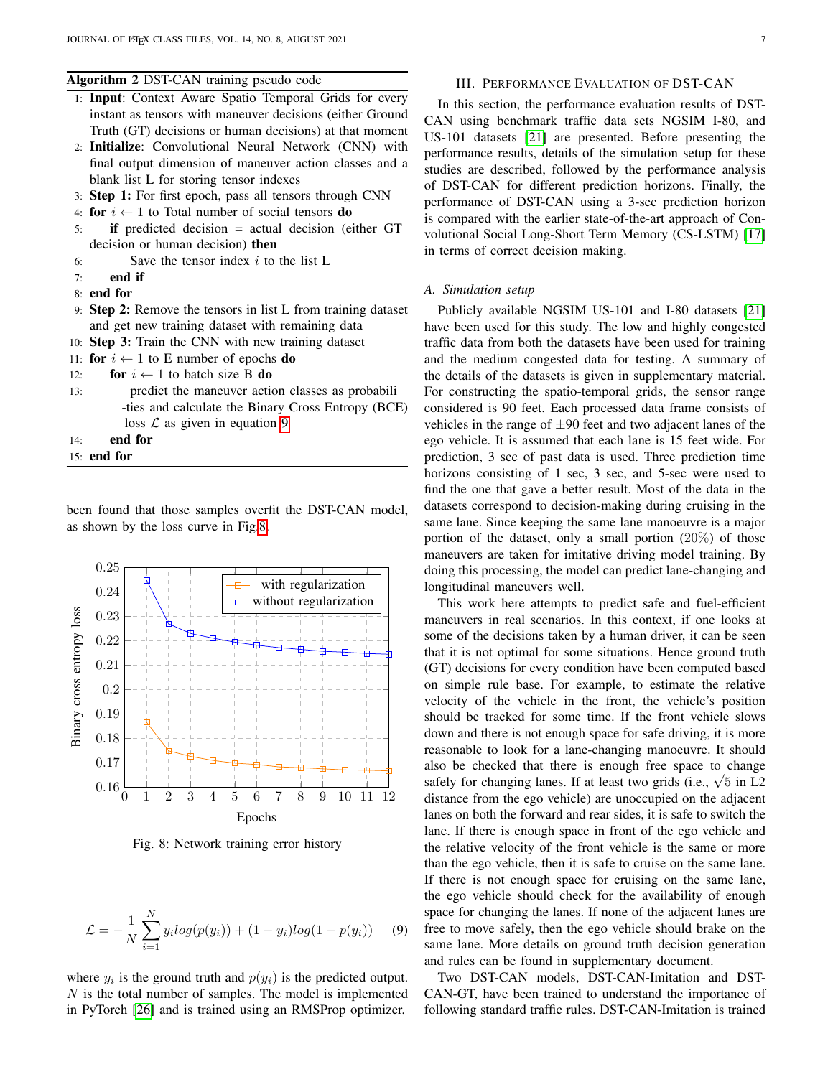# <span id="page-6-1"></span>Algorithm 2 DST-CAN training pseudo code

- 1: Input: Context Aware Spatio Temporal Grids for every instant as tensors with maneuver decisions (either Ground Truth (GT) decisions or human decisions) at that moment
- 2: Initialize: Convolutional Neural Network (CNN) with final output dimension of maneuver action classes and a blank list L for storing tensor indexes
- 3: Step 1: For first epoch, pass all tensors through CNN
- 4: for  $i \leftarrow 1$  to Total number of social tensors do
- 5: if predicted decision = actual decision (either GT decision or human decision) then
- 6: Save the tensor index  $i$  to the list L
- 7: end if
- 8: end for
- 9: Step 2: Remove the tensors in list L from training dataset and get new training dataset with remaining data
- 10: Step 3: Train the CNN with new training dataset
- 11: for  $i \leftarrow 1$  to E number of epochs do
- 12: **for**  $i \leftarrow 1$  to batch size **B** do
- 13: predict the maneuver action classes as probabili -ties and calculate the Binary Cross Entropy (BCE) loss  $\mathcal L$  as given in equation [9](#page-6-0)
- 14: end for
- 15: end for

been found that those samples overfit the DST-CAN model, as shown by the loss curve in Fig[.8.](#page-6-2)

<span id="page-6-2"></span>

Fig. 8: Network training error history

<span id="page-6-0"></span>
$$
\mathcal{L} = -\frac{1}{N} \sum_{i=1}^{N} y_i \log(p(y_i)) + (1 - y_i) \log(1 - p(y_i)) \tag{9}
$$

where  $y_i$  is the ground truth and  $p(y_i)$  is the predicted output.  $N$  is the total number of samples. The model is implemented in PyTorch [\[26\]](#page-10-3) and is trained using an RMSProp optimizer.

## III. PERFORMANCE EVALUATION OF DST-CAN

In this section, the performance evaluation results of DST-CAN using benchmark traffic data sets NGSIM I-80, and US-101 datasets [\[21\]](#page-9-20) are presented. Before presenting the performance results, details of the simulation setup for these studies are described, followed by the performance analysis of DST-CAN for different prediction horizons. Finally, the performance of DST-CAN using a 3-sec prediction horizon is compared with the earlier state-of-the-art approach of Convolutional Social Long-Short Term Memory (CS-LSTM) [\[17\]](#page-9-16) in terms of correct decision making.

#### *A. Simulation setup*

Publicly available NGSIM US-101 and I-80 datasets [\[21\]](#page-9-20) have been used for this study. The low and highly congested traffic data from both the datasets have been used for training and the medium congested data for testing. A summary of the details of the datasets is given in supplementary material. For constructing the spatio-temporal grids, the sensor range considered is 90 feet. Each processed data frame consists of vehicles in the range of  $\pm 90$  feet and two adjacent lanes of the ego vehicle. It is assumed that each lane is 15 feet wide. For prediction, 3 sec of past data is used. Three prediction time horizons consisting of 1 sec, 3 sec, and 5-sec were used to find the one that gave a better result. Most of the data in the datasets correspond to decision-making during cruising in the same lane. Since keeping the same lane manoeuvre is a major portion of the dataset, only a small portion (20%) of those maneuvers are taken for imitative driving model training. By doing this processing, the model can predict lane-changing and longitudinal maneuvers well.

This work here attempts to predict safe and fuel-efficient maneuvers in real scenarios. In this context, if one looks at some of the decisions taken by a human driver, it can be seen that it is not optimal for some situations. Hence ground truth (GT) decisions for every condition have been computed based on simple rule base. For example, to estimate the relative velocity of the vehicle in the front, the vehicle's position should be tracked for some time. If the front vehicle slows down and there is not enough space for safe driving, it is more reasonable to look for a lane-changing manoeuvre. It should also be checked that there is enough free space to change also be checked that there is enough free space to change safely for changing lanes. If at least two grids (i.e.,  $\sqrt{5}$  in L2 distance from the ego vehicle) are unoccupied on the adjacent lanes on both the forward and rear sides, it is safe to switch the lane. If there is enough space in front of the ego vehicle and the relative velocity of the front vehicle is the same or more than the ego vehicle, then it is safe to cruise on the same lane. If there is not enough space for cruising on the same lane, the ego vehicle should check for the availability of enough space for changing the lanes. If none of the adjacent lanes are free to move safely, then the ego vehicle should brake on the same lane. More details on ground truth decision generation and rules can be found in supplementary document.

Two DST-CAN models, DST-CAN-Imitation and DST-CAN-GT, have been trained to understand the importance of following standard traffic rules. DST-CAN-Imitation is trained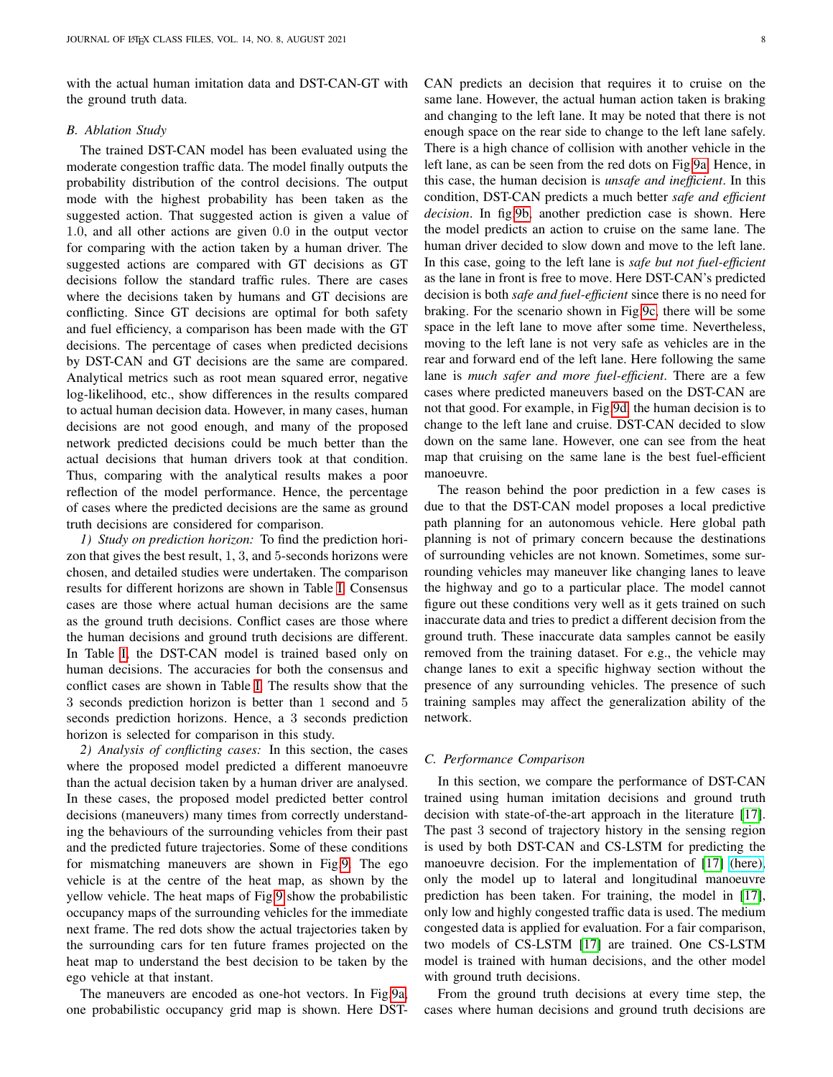with the actual human imitation data and DST-CAN-GT with the ground truth data.

# *B. Ablation Study*

The trained DST-CAN model has been evaluated using the moderate congestion traffic data. The model finally outputs the probability distribution of the control decisions. The output mode with the highest probability has been taken as the suggested action. That suggested action is given a value of 1.0, and all other actions are given 0.0 in the output vector for comparing with the action taken by a human driver. The suggested actions are compared with GT decisions as GT decisions follow the standard traffic rules. There are cases where the decisions taken by humans and GT decisions are conflicting. Since GT decisions are optimal for both safety and fuel efficiency, a comparison has been made with the GT decisions. The percentage of cases when predicted decisions by DST-CAN and GT decisions are the same are compared. Analytical metrics such as root mean squared error, negative log-likelihood, etc., show differences in the results compared to actual human decision data. However, in many cases, human decisions are not good enough, and many of the proposed network predicted decisions could be much better than the actual decisions that human drivers took at that condition. Thus, comparing with the analytical results makes a poor reflection of the model performance. Hence, the percentage of cases where the predicted decisions are the same as ground truth decisions are considered for comparison.

*1) Study on prediction horizon:* To find the prediction horizon that gives the best result, 1, 3, and 5-seconds horizons were chosen, and detailed studies were undertaken. The comparison results for different horizons are shown in Table [I.](#page-8-0) Consensus cases are those where actual human decisions are the same as the ground truth decisions. Conflict cases are those where the human decisions and ground truth decisions are different. In Table [I,](#page-8-0) the DST-CAN model is trained based only on human decisions. The accuracies for both the consensus and conflict cases are shown in Table [I.](#page-8-0) The results show that the 3 seconds prediction horizon is better than 1 second and 5 seconds prediction horizons. Hence, a 3 seconds prediction horizon is selected for comparison in this study.

*2) Analysis of conflicting cases:* In this section, the cases where the proposed model predicted a different manoeuvre than the actual decision taken by a human driver are analysed. In these cases, the proposed model predicted better control decisions (maneuvers) many times from correctly understanding the behaviours of the surrounding vehicles from their past and the predicted future trajectories. Some of these conditions for mismatching maneuvers are shown in Fig[.9.](#page-8-1) The ego vehicle is at the centre of the heat map, as shown by the yellow vehicle. The heat maps of Fig[.9](#page-8-1) show the probabilistic occupancy maps of the surrounding vehicles for the immediate next frame. The red dots show the actual trajectories taken by the surrounding cars for ten future frames projected on the heat map to understand the best decision to be taken by the ego vehicle at that instant.

The maneuvers are encoded as one-hot vectors. In Fig[.9a,](#page-8-1) one probabilistic occupancy grid map is shown. Here DST- CAN predicts an decision that requires it to cruise on the same lane. However, the actual human action taken is braking and changing to the left lane. It may be noted that there is not enough space on the rear side to change to the left lane safely. There is a high chance of collision with another vehicle in the left lane, as can be seen from the red dots on Fig[.9a.](#page-8-1) Hence, in this case, the human decision is *unsafe and inefficient*. In this condition, DST-CAN predicts a much better *safe and efficient decision*. In fig[.9b,](#page-8-1) another prediction case is shown. Here the model predicts an action to cruise on the same lane. The human driver decided to slow down and move to the left lane. In this case, going to the left lane is *safe but not fuel-efficient* as the lane in front is free to move. Here DST-CAN's predicted decision is both *safe and fuel-efficient* since there is no need for braking. For the scenario shown in Fig[.9c,](#page-8-1) there will be some space in the left lane to move after some time. Nevertheless, moving to the left lane is not very safe as vehicles are in the rear and forward end of the left lane. Here following the same lane is *much safer and more fuel-efficient*. There are a few cases where predicted maneuvers based on the DST-CAN are not that good. For example, in Fig[.9d,](#page-8-1) the human decision is to change to the left lane and cruise. DST-CAN decided to slow down on the same lane. However, one can see from the heat map that cruising on the same lane is the best fuel-efficient manoeuvre.

The reason behind the poor prediction in a few cases is due to that the DST-CAN model proposes a local predictive path planning for an autonomous vehicle. Here global path planning is not of primary concern because the destinations of surrounding vehicles are not known. Sometimes, some surrounding vehicles may maneuver like changing lanes to leave the highway and go to a particular place. The model cannot figure out these conditions very well as it gets trained on such inaccurate data and tries to predict a different decision from the ground truth. These inaccurate data samples cannot be easily removed from the training dataset. For e.g., the vehicle may change lanes to exit a specific highway section without the presence of any surrounding vehicles. The presence of such training samples may affect the generalization ability of the network.

#### *C. Performance Comparison*

In this section, we compare the performance of DST-CAN trained using human imitation decisions and ground truth decision with state-of-the-art approach in the literature [\[17\]](#page-9-16). The past 3 second of trajectory history in the sensing region is used by both DST-CAN and CS-LSTM for predicting the manoeuvre decision. For the implementation of [\[17\]](#page-9-16) [\(here\),](https://github.com/nachiket92/conv-social-pooling) only the model up to lateral and longitudinal manoeuvre prediction has been taken. For training, the model in [\[17\]](#page-9-16), only low and highly congested traffic data is used. The medium congested data is applied for evaluation. For a fair comparison, two models of CS-LSTM [\[17\]](#page-9-16) are trained. One CS-LSTM model is trained with human decisions, and the other model with ground truth decisions.

From the ground truth decisions at every time step, the cases where human decisions and ground truth decisions are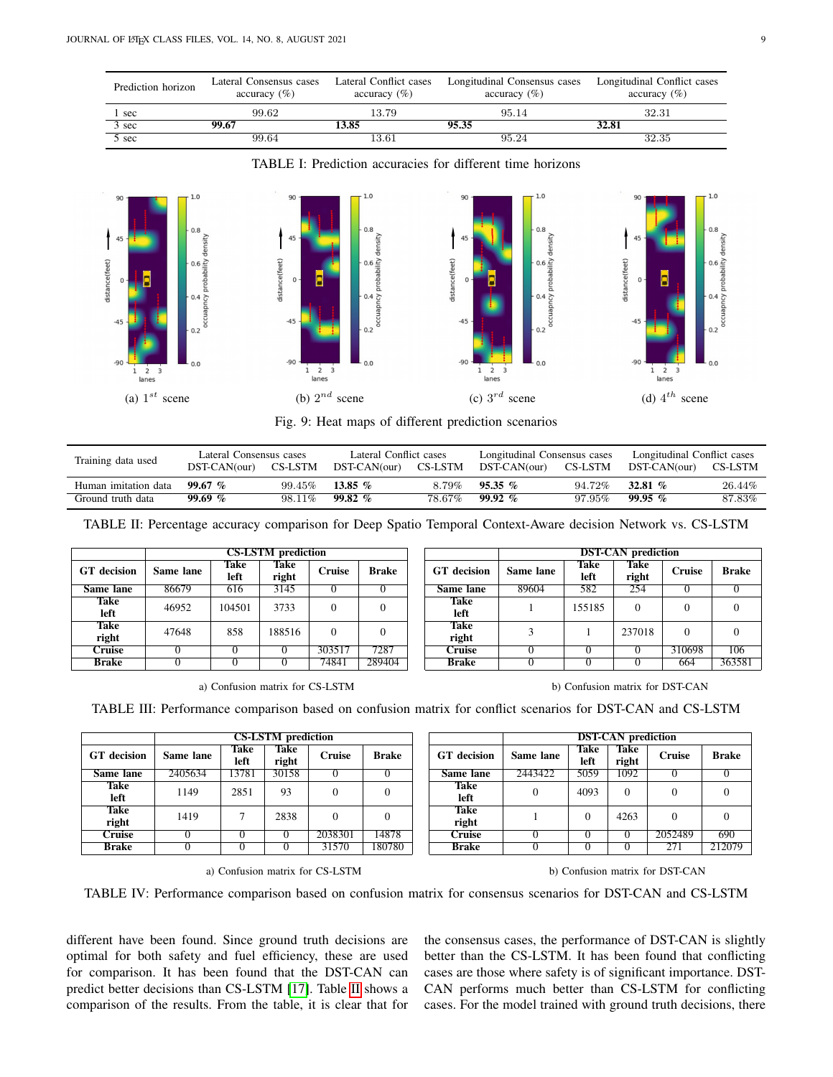<span id="page-8-0"></span>

| Prediction horizon         | Lateral Consensus cases<br>accuracy $(\% )$ | Lateral Conflict cases<br>accuracy (%) | Longitudinal Consensus cases<br>$\alpha$ ccuracy $(\%)$ | Longitudinal Conflict cases<br>accuracy $(\% )$ |
|----------------------------|---------------------------------------------|----------------------------------------|---------------------------------------------------------|-------------------------------------------------|
| 1 sec                      | 99.62                                       | 13.79                                  | 95.14                                                   | 32.31                                           |
| $\overline{3 \text{ sec}}$ | 99.67                                       | 13.85                                  | 95.35                                                   | 32.81                                           |
| $\overline{5}$ sec         | 99.64                                       | $13.61\,$                              | 95.24                                                   | 32.35                                           |

TABLE I: Prediction accuracies for different time horizons

<span id="page-8-1"></span>

Fig. 9: Heat maps of different prediction scenarios

<span id="page-8-2"></span>

| Training data used   | Lateral Consensus cases<br>DST-CAN(our) | CS-LSTM   | Lateral Conflict cases<br>DST-CAN(our) | CS-LSTM | Longitudinal Consensus cases<br>DST-CAN(our) | CS-LSTM | Longitudinal Conflict cases<br>DST-CAN(our) | CS-LSTM |
|----------------------|-----------------------------------------|-----------|----------------------------------------|---------|----------------------------------------------|---------|---------------------------------------------|---------|
| Human imitation data | $99.67~\%$                              | $99.45\%$ | 13.85 $%$                              | 8.79%   | $95.35\%$                                    | 94.72%  | 32.81 $%$                                   | 26.44%  |
| Ground truth data    | 99.69%                                  | 98.11%    | 99.82%                                 | 78.67%  | $99.92\%$                                    | 97.95%  | $99.95\%$                                   | 87.83%  |

TABLE II: Percentage accuracy comparison for Deep Spatio Temporal Context-Aware decision Network vs. CS-LSTM

<span id="page-8-3"></span>

| <b>CS-LSTM</b> prediction |           |              |               |               |              |  |                      | <b>DST-CAN</b> prediction |              |               |        |      |
|---------------------------|-----------|--------------|---------------|---------------|--------------|--|----------------------|---------------------------|--------------|---------------|--------|------|
| <b>GT</b> decision        | Same lane | Take<br>left | Take<br>right | <b>Cruise</b> | <b>Brake</b> |  | <b>GT</b> decision   | Same lane                 | Take<br>left | Take<br>right | Cruise | Bra  |
| Same lane                 | 86679     | 616          | 3145          |               |              |  | Same lane            | 89604                     | 582          | 254           |        |      |
| <b>Take</b><br>left       | 46952     | 104501       | 3733          | $\Omega$      |              |  | Take<br>left         |                           | 155185       |               |        |      |
| <b>Take</b><br>right      | 47648     | 858          | 188516        | $\Omega$      |              |  | <b>Take</b><br>right |                           |              | 237018        |        |      |
| Cruise                    |           |              |               | 303517        | 7287         |  | <b>Cruise</b>        |                           |              |               | 310698 | 10   |
| <b>Brake</b>              |           |              |               | 74841         | 289404       |  | Brake                |                           |              |               | 664    | 363. |

|                      |           |              | <b>CS-LSTM</b> prediction |               |              |                      | <b>DST-CAN</b> prediction |              |                      |               |              |
|----------------------|-----------|--------------|---------------------------|---------------|--------------|----------------------|---------------------------|--------------|----------------------|---------------|--------------|
| decision             | Same lane | Take<br>left | Take<br>right             | <b>Cruise</b> | <b>Brake</b> | <b>GT</b> decision   | Same lane                 | Take<br>left | <b>Take</b><br>right | <b>Cruise</b> | <b>Brake</b> |
| ıme lane             | 86679     | 616          | 3145                      |               |              | Same lane            | 89604                     | 582          | 254                  |               |              |
| <b>Take</b><br>left  | 46952     | 104501       | 3733                      |               |              | <b>Take</b><br>left  |                           | 155185       |                      |               | 0            |
| <b>Take</b><br>right | 47648     | 858          | 188516                    |               | 0            | <b>Take</b><br>right |                           |              | 237018               | $\theta$      | 0            |
| Cruise               |           |              |                           | 303517        | 7287         | Cruise               |                           |              |                      | 310698        | 106          |
| <b>Brake</b>         |           |              |                           | 74841         | 289404       | <b>Brake</b>         |                           |              |                      | 664           | 363581       |

|  |  |  |  | a) Confusion matrix for CS-LSTM |
|--|--|--|--|---------------------------------|
|--|--|--|--|---------------------------------|

b) Confusion matrix for DST-CAN

TABLE III: Performance comparison based on confusion matrix for conflict scenarios for DST-CAN and CS-LSTM

<span id="page-8-4"></span>

| <b>CS-LSTM</b> prediction |           |              |               |               |              |                    | <b>DST-CAN</b> prediction |              |               |               |              |
|---------------------------|-----------|--------------|---------------|---------------|--------------|--------------------|---------------------------|--------------|---------------|---------------|--------------|
| <b>GT</b> decision        | Same lane | Take<br>left | Take<br>right | <b>Cruise</b> | <b>Brake</b> | <b>GT</b> decision | Same lane                 | Take<br>left | Take<br>right | <b>Cruise</b> | <b>Brake</b> |
| Same lane                 | 2405634   | 13781        | 30158         |               |              | Same lane          | 2443422                   | 5059         | 1092          |               |              |
| <b>Take</b><br>left       | 1149      | 2851         | 93            |               | $\Omega$     | Take<br>left       |                           | 4093         | $\Omega$      |               |              |
| <b>Take</b><br>right      | 1419      |              | 2838          |               | $\Omega$     | Take<br>right      |                           |              | 4263          |               |              |
| <b>Cruise</b>             |           |              |               | 2038301       | 14878        | Cruise             |                           |              |               | 2052489       | 690          |
| <b>Brake</b>              |           |              |               | 31570         | 180780       | <b>Brake</b>       |                           |              |               | 271           | 212079       |

a) Confusion matrix for CS-LSTM b) Confusion matrix for DST-CAN

TABLE IV: Performance comparison based on confusion matrix for consensus scenarios for DST-CAN and CS-LSTM

different have been found. Since ground truth decisions are optimal for both safety and fuel efficiency, these are used for comparison. It has been found that the DST-CAN can predict better decisions than CS-LSTM [\[17\]](#page-9-16). Table [II](#page-8-2) shows a comparison of the results. From the table, it is clear that for the consensus cases, the performance of DST-CAN is slightly better than the CS-LSTM. It has been found that conflicting cases are those where safety is of significant importance. DST-CAN performs much better than CS-LSTM for conflicting cases. For the model trained with ground truth decisions, there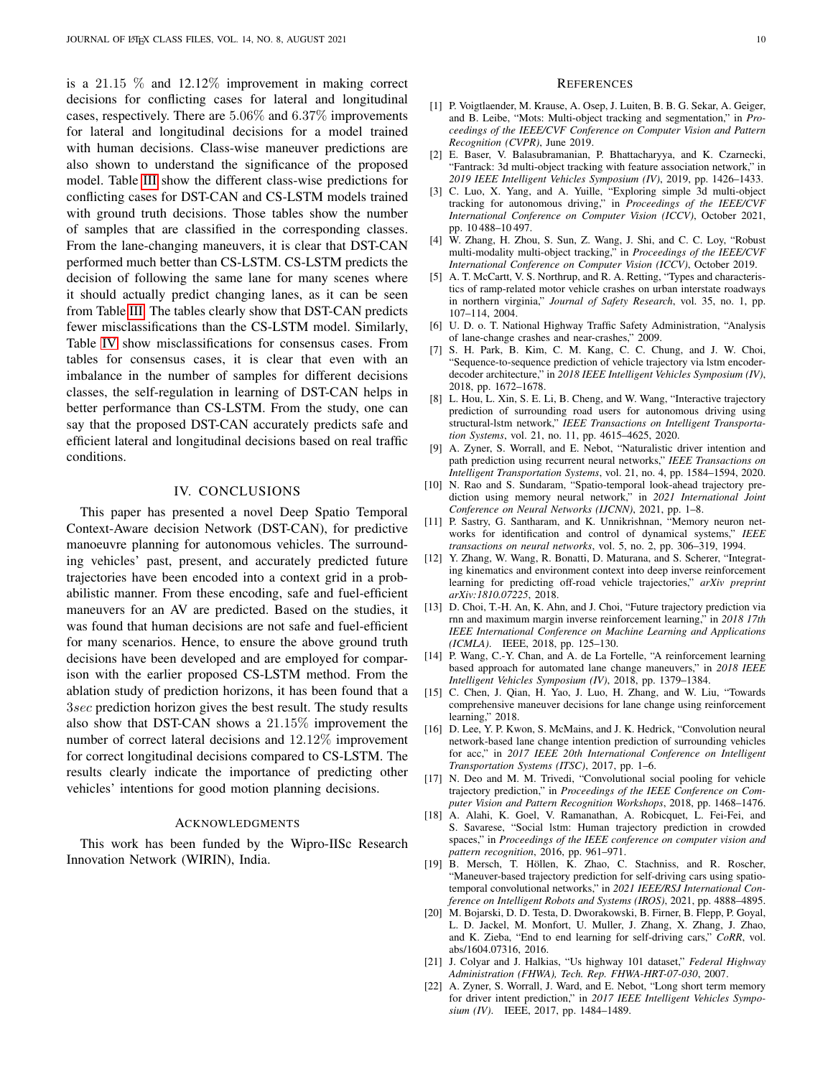is a 21.15 % and 12.12% improvement in making correct decisions for conflicting cases for lateral and longitudinal cases, respectively. There are 5.06% and 6.37% improvements for lateral and longitudinal decisions for a model trained with human decisions. Class-wise maneuver predictions are also shown to understand the significance of the proposed model. Table [III](#page-8-3) show the different class-wise predictions for conflicting cases for DST-CAN and CS-LSTM models trained with ground truth decisions. Those tables show the number of samples that are classified in the corresponding classes. From the lane-changing maneuvers, it is clear that DST-CAN performed much better than CS-LSTM. CS-LSTM predicts the decision of following the same lane for many scenes where it should actually predict changing lanes, as it can be seen from Table [III.](#page-8-3) The tables clearly show that DST-CAN predicts fewer misclassifications than the CS-LSTM model. Similarly, Table [IV](#page-8-4) show misclassifications for consensus cases. From tables for consensus cases, it is clear that even with an imbalance in the number of samples for different decisions classes, the self-regulation in learning of DST-CAN helps in better performance than CS-LSTM. From the study, one can say that the proposed DST-CAN accurately predicts safe and efficient lateral and longitudinal decisions based on real traffic conditions.

## IV. CONCLUSIONS

This paper has presented a novel Deep Spatio Temporal Context-Aware decision Network (DST-CAN), for predictive manoeuvre planning for autonomous vehicles. The surrounding vehicles' past, present, and accurately predicted future trajectories have been encoded into a context grid in a probabilistic manner. From these encoding, safe and fuel-efficient maneuvers for an AV are predicted. Based on the studies, it was found that human decisions are not safe and fuel-efficient for many scenarios. Hence, to ensure the above ground truth decisions have been developed and are employed for comparison with the earlier proposed CS-LSTM method. From the ablation study of prediction horizons, it has been found that a 3sec prediction horizon gives the best result. The study results also show that DST-CAN shows a 21.15% improvement the number of correct lateral decisions and 12.12% improvement for correct longitudinal decisions compared to CS-LSTM. The results clearly indicate the importance of predicting other vehicles' intentions for good motion planning decisions.

## ACKNOWLEDGMENTS

This work has been funded by the Wipro-IISc Research Innovation Network (WIRIN), India.

- <span id="page-9-0"></span>[1] P. Voigtlaender, M. Krause, A. Osep, J. Luiten, B. B. G. Sekar, A. Geiger, and B. Leibe, "Mots: Multi-object tracking and segmentation," in *Proceedings of the IEEE/CVF Conference on Computer Vision and Pattern Recognition (CVPR)*, June 2019.
- <span id="page-9-1"></span>[2] E. Baser, V. Balasubramanian, P. Bhattacharyya, and K. Czarnecki, "Fantrack: 3d multi-object tracking with feature association network," in *2019 IEEE Intelligent Vehicles Symposium (IV)*, 2019, pp. 1426–1433.
- <span id="page-9-2"></span>[3] C. Luo, X. Yang, and A. Yuille, "Exploring simple 3d multi-object tracking for autonomous driving," in *Proceedings of the IEEE/CVF International Conference on Computer Vision (ICCV)*, October 2021, pp. 10 488–10 497.
- <span id="page-9-3"></span>[4] W. Zhang, H. Zhou, S. Sun, Z. Wang, J. Shi, and C. C. Loy, "Robust multi-modality multi-object tracking," in *Proceedings of the IEEE/CVF International Conference on Computer Vision (ICCV)*, October 2019.
- <span id="page-9-4"></span>[5] A. T. McCartt, V. S. Northrup, and R. A. Retting, "Types and characteristics of ramp-related motor vehicle crashes on urban interstate roadways in northern virginia," *Journal of Safety Research*, vol. 35, no. 1, pp. 107–114, 2004.
- <span id="page-9-5"></span>[6] U. D. o. T. National Highway Traffic Safety Administration, "Analysis of lane-change crashes and near-crashes," 2009.
- <span id="page-9-6"></span>[7] S. H. Park, B. Kim, C. M. Kang, C. C. Chung, and J. W. Choi, "Sequence-to-sequence prediction of vehicle trajectory via lstm encoderdecoder architecture," in *2018 IEEE Intelligent Vehicles Symposium (IV)*, 2018, pp. 1672–1678.
- <span id="page-9-7"></span>[8] L. Hou, L. Xin, S. E. Li, B. Cheng, and W. Wang, "Interactive trajectory prediction of surrounding road users for autonomous driving using structural-lstm network," *IEEE Transactions on Intelligent Transportation Systems*, vol. 21, no. 11, pp. 4615–4625, 2020.
- <span id="page-9-8"></span>[9] A. Zyner, S. Worrall, and E. Nebot, "Naturalistic driver intention and path prediction using recurrent neural networks," *IEEE Transactions on Intelligent Transportation Systems*, vol. 21, no. 4, pp. 1584–1594, 2020.
- <span id="page-9-9"></span>[10] N. Rao and S. Sundaram, "Spatio-temporal look-ahead trajectory prediction using memory neural network," in *2021 International Joint Conference on Neural Networks (IJCNN)*, 2021, pp. 1–8.
- <span id="page-9-10"></span>[11] P. Sastry, G. Santharam, and K. Unnikrishnan, "Memory neuron networks for identification and control of dynamical systems," *IEEE transactions on neural networks*, vol. 5, no. 2, pp. 306–319, 1994.
- <span id="page-9-11"></span>[12] Y. Zhang, W. Wang, R. Bonatti, D. Maturana, and S. Scherer, "Integrating kinematics and environment context into deep inverse reinforcement learning for predicting off-road vehicle trajectories," *arXiv preprint arXiv:1810.07225*, 2018.
- <span id="page-9-12"></span>[13] D. Choi, T.-H. An, K. Ahn, and J. Choi, "Future trajectory prediction via rnn and maximum margin inverse reinforcement learning," in *2018 17th IEEE International Conference on Machine Learning and Applications (ICMLA)*. IEEE, 2018, pp. 125–130.
- <span id="page-9-13"></span>[14] P. Wang, C.-Y. Chan, and A. de La Fortelle, "A reinforcement learning based approach for automated lane change maneuvers," in *2018 IEEE Intelligent Vehicles Symposium (IV)*, 2018, pp. 1379–1384.
- <span id="page-9-14"></span>[15] C. Chen, J. Qian, H. Yao, J. Luo, H. Zhang, and W. Liu, "Towards comprehensive maneuver decisions for lane change using reinforcement learning," 2018.
- <span id="page-9-15"></span>[16] D. Lee, Y. P. Kwon, S. McMains, and J. K. Hedrick, "Convolution neural network-based lane change intention prediction of surrounding vehicles for acc," in *2017 IEEE 20th International Conference on Intelligent Transportation Systems (ITSC)*, 2017, pp. 1–6.
- <span id="page-9-16"></span>[17] N. Deo and M. M. Trivedi, "Convolutional social pooling for vehicle trajectory prediction," in *Proceedings of the IEEE Conference on Computer Vision and Pattern Recognition Workshops*, 2018, pp. 1468–1476.
- <span id="page-9-17"></span>[18] A. Alahi, K. Goel, V. Ramanathan, A. Robicquet, L. Fei-Fei, and S. Savarese, "Social lstm: Human trajectory prediction in crowded spaces," in *Proceedings of the IEEE conference on computer vision and pattern recognition*, 2016, pp. 961–971.
- <span id="page-9-18"></span>[19] B. Mersch, T. Höllen, K. Zhao, C. Stachniss, and R. Roscher, "Maneuver-based trajectory prediction for self-driving cars using spatiotemporal convolutional networks," in *2021 IEEE/RSJ International Conference on Intelligent Robots and Systems (IROS)*, 2021, pp. 4888–4895.
- <span id="page-9-19"></span>[20] M. Bojarski, D. D. Testa, D. Dworakowski, B. Firner, B. Flepp, P. Goyal, L. D. Jackel, M. Monfort, U. Muller, J. Zhang, X. Zhang, J. Zhao, and K. Zieba, "End to end learning for self-driving cars," *CoRR*, vol. abs/1604.07316, 2016.
- <span id="page-9-20"></span>[21] J. Colyar and J. Halkias, "Us highway 101 dataset," *Federal Highway Administration (FHWA), Tech. Rep. FHWA-HRT-07-030*, 2007.
- <span id="page-9-21"></span>[22] A. Zyner, S. Worrall, J. Ward, and E. Nebot, "Long short term memory for driver intent prediction," in *2017 IEEE Intelligent Vehicles Symposium (IV)*. IEEE, 2017, pp. 1484–1489.